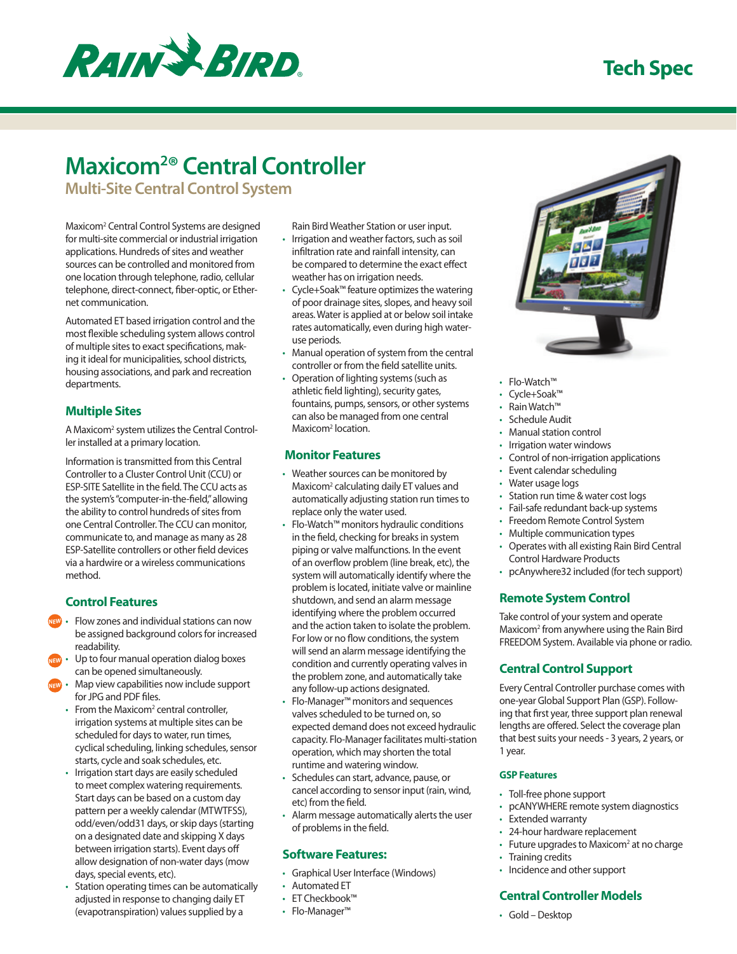## **Tech Spec**



# **Maxicom2 ® Central Controller**

**Multi-Site Central Control System**

Maxicom2 Central Control Systems are designed for multi-site commercial or industrial irrigation applications. Hundreds of sites and weather sources can be controlled and monitored from one location through telephone, radio, cellular telephone, direct-connect, fiber-optic, or Ethernet communication.

Automated ET based irrigation control and the most flexible scheduling system allows control of multiple sites to exact specifications, making it ideal for municipalities, school districts, housing associations, and park and recreation departments.

## **Multiple Sites**

A Maxicom<sup>2</sup> system utilizes the Central Controller installed at a primary location.

Information is transmitted from this Central Controller to a Cluster Control Unit (CCU) or ESP-SITE Satellite in the field. The CCU acts as the system's "computer-in-the-field," allowing the ability to control hundreds of sites from one Central Controller. The CCU can monitor, communicate to, and manage as many as 28 ESP-Satellite controllers or other field devices via a hardwire or a wireless communications method.

### **Control Features**

- • Flow zones and individual stations can now be assigned background colors for increased readability. *NEW*
- Up to four manual operation dialog boxes can be opened simultaneously. *NEW*
- Map view capabilities now include support for JPG and PDF files. *NEW*
	- From the Maxicom<sup>2</sup> central controller, irrigation systems at multiple sites can be scheduled for days to water, run times, cyclical scheduling, linking schedules, sensor starts, cycle and soak schedules, etc.
	- Irrigation start days are easily scheduled to meet complex watering requirements. Start days can be based on a custom day pattern per a weekly calendar (MTWTFSS), odd/even/odd31 days, or skip days (starting on a designated date and skipping X days between irrigation starts). Event days off allow designation of non-water days (mow days, special events, etc).
	- Station operating times can be automatically adjusted in response to changing daily ET (evapotranspiration) values supplied by a

Rain Bird Weather Station or user input.

- Irrigation and weather factors, such as soil infiltration rate and rainfall intensity, can be compared to determine the exact effect weather has on irrigation needs.
- Cycle+Soak™ feature optimizes the watering of poor drainage sites, slopes, and heavy soil areas. Water is applied at or below soil intake rates automatically, even during high wateruse periods.
- Manual operation of system from the central controller or from the field satellite units.
- Operation of lighting systems (such as athletic field lighting), security gates, fountains, pumps, sensors, or other systems can also be managed from one central Maxicom<sup>2</sup> location.

#### **Monitor Features**

- Weather sources can be monitored by Maxicom<sup>2</sup> calculating daily ET values and automatically adjusting station run times to replace only the water used.
- Flo-Watch™ monitors hydraulic conditions in the field, checking for breaks in system piping or valve malfunctions. In the event of an overflow problem (line break, etc), the system will automatically identify where the problem is located, initiate valve or mainline shutdown, and send an alarm message identifying where the problem occurred and the action taken to isolate the problem. For low or no flow conditions, the system will send an alarm message identifying the condition and currently operating valves in the problem zone, and automatically take any follow-up actions designated.
- Flo-Manager™ monitors and sequences valves scheduled to be turned on, so expected demand does not exceed hydraulic capacity. Flo-Manager facilitates multi-station operation, which may shorten the total runtime and watering window.
- Schedules can start, advance, pause, or cancel according to sensor input (rain, wind, etc) from the field.
- • Alarm message automatically alerts the user of problems in the field.

#### **Software Features:**

- • Graphical User Interface (Windows)
- • Automated ET
- • ET Checkbook™
- • Flo-Manager™



- • Flo-Watch™
- • Cycle+Soak™
- • Rain Watch™
- Schedule Audit
- Manual station control
- Irrigation water windows
- • Control of non-irrigation applications
- • Event calendar scheduling
- Water usage logs
- Station run time & water cost logs
- Fail-safe redundant back-up systems
- Freedom Remote Control System
- Multiple communication types
- • Operates with all existing Rain Bird Central Control Hardware Products
- pcAnywhere32 included (for tech support)

#### **Remote System Control**

Take control of your system and operate Maxicom2 from anywhere using the Rain Bird FREEDOM System. Available via phone or radio.

### **Central Control Support**

Every Central Controller purchase comes with one-year Global Support Plan (GSP). Following that first year, three support plan renewal lengths are offered. Select the coverage plan that best suits your needs - 3 years, 2 years, or 1 year.

#### **GSP Features**

- Toll-free phone support
- • pcANYWHERE remote system diagnostics
- • Extended warranty
- • 24-hour hardware replacement
- Future upgrades to Maxicom<sup>2</sup> at no charge
- Training credits
- • Incidence and other support

#### **Central Controller Models**

• Gold – Desktop